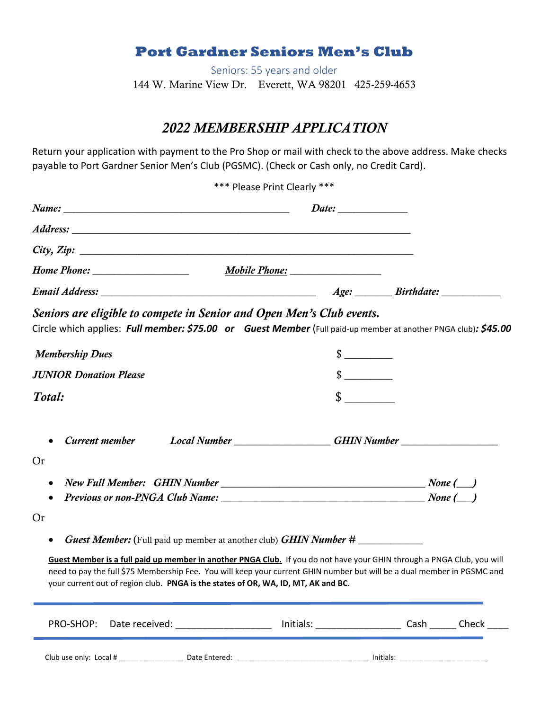## **Port Gardner Seniors Men's Club**

Seniors: 55 years and older 144 W. Marine View Dr. Everett, WA 98201 425-259-4653

## *2022 MEMBERSHIP APPLICATION*

Return your application with payment to the Pro Shop or mail with check to the above address. Make checks payable to Port Gardner Senior Men's Club (PGSMC). (Check or Cash only, no Credit Card).

|                                                                                                                                                                                                                   | *** Please Print Clearly *** |                             |                                                                                  |
|-------------------------------------------------------------------------------------------------------------------------------------------------------------------------------------------------------------------|------------------------------|-----------------------------|----------------------------------------------------------------------------------|
|                                                                                                                                                                                                                   |                              |                             |                                                                                  |
|                                                                                                                                                                                                                   |                              |                             |                                                                                  |
| City, Zip:                                                                                                                                                                                                        |                              |                             |                                                                                  |
|                                                                                                                                                                                                                   |                              |                             |                                                                                  |
|                                                                                                                                                                                                                   |                              |                             |                                                                                  |
| Seniors are eligible to compete in Senior and Open Men's Club events.<br>Circle which applies: Full member: \$75.00 or Guest Member (Full paid-up member at another PNGA club): \$45.00<br><b>Membership Dues</b> |                              | $\frac{\text{S}}{\text{S}}$ |                                                                                  |
| <b>JUNIOR Donation Please</b>                                                                                                                                                                                     |                              | $\frac{\text{S}}{\text{S}}$ |                                                                                  |
| Total:                                                                                                                                                                                                            |                              | $\sim$                      |                                                                                  |
|                                                                                                                                                                                                                   |                              |                             | Current member Local Number __________________GHIN Number ______________________ |
| <b>Or</b>                                                                                                                                                                                                         |                              |                             |                                                                                  |
|                                                                                                                                                                                                                   |                              |                             |                                                                                  |
|                                                                                                                                                                                                                   |                              |                             |                                                                                  |
| <b>Or</b>                                                                                                                                                                                                         |                              |                             |                                                                                  |
| <b>Guest Member:</b> (Full paid up member at another club) <b>GHIN Number #</b>                                                                                                                                   |                              |                             |                                                                                  |

**Guest Member is a full paid up member in another PNGA Club.** If you do not have your GHIN through a PNGA Club, you will need to pay the full \$75 Membership Fee. You will keep your current GHIN number but will be a dual member in PGSMC and your current out of region club. **PNGA is the states of OR, WA, ID, MT, AK and BC**.

| PRO-SHOP: Date received: |               | Initials: |           | Cash | Check |
|--------------------------|---------------|-----------|-----------|------|-------|
| Club use only: Local #   | Date Entered: |           | Initials: |      |       |